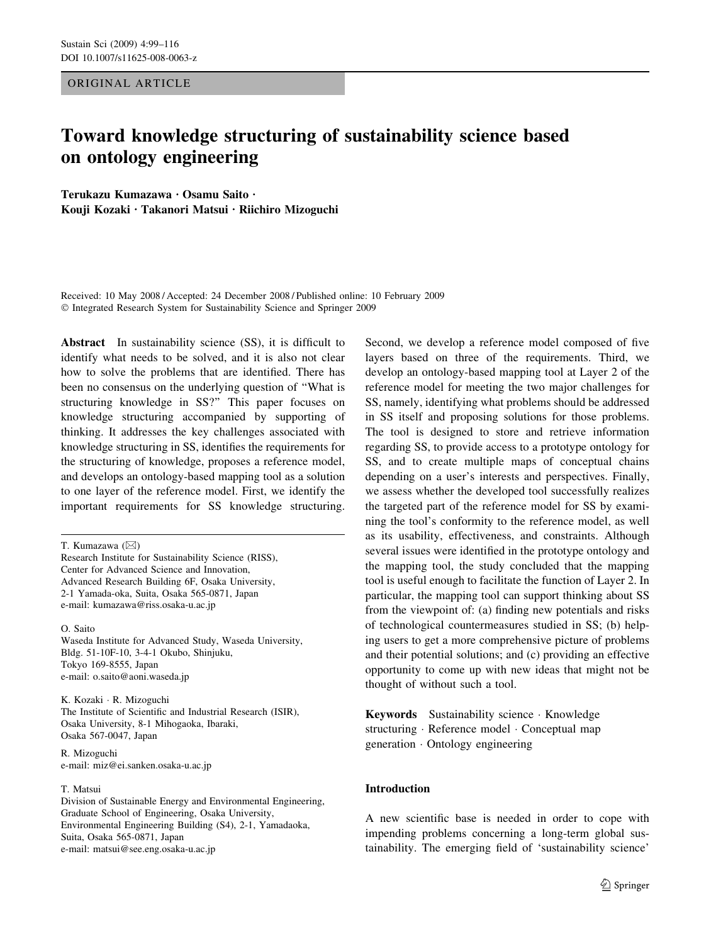<span id="page-0-0"></span>ORIGINAL ARTICLE

# Toward knowledge structuring of sustainability science based on ontology engineering

Terukazu Kumazawa · Osamu Saito · Kouji Kozaki · Takanori Matsui · Riichiro Mizoguchi

Received: 10 May 2008 / Accepted: 24 December 2008 / Published online: 10 February 2009 Integrated Research System for Sustainability Science and Springer 2009

Abstract In sustainability science (SS), it is difficult to identify what needs to be solved, and it is also not clear how to solve the problems that are identified. There has been no consensus on the underlying question of ''What is structuring knowledge in SS?'' This paper focuses on knowledge structuring accompanied by supporting of thinking. It addresses the key challenges associated with knowledge structuring in SS, identifies the requirements for the structuring of knowledge, proposes a reference model, and develops an ontology-based mapping tool as a solution to one layer of the reference model. First, we identify the important requirements for SS knowledge structuring.

O. Saito

Waseda Institute for Advanced Study, Waseda University, Bldg. 51-10F-10, 3-4-1 Okubo, Shinjuku, Tokyo 169-8555, Japan e-mail: o.saito@aoni.waseda.jp

K. Kozaki · R. Mizoguchi The Institute of Scientific and Industrial Research (ISIR), Osaka University, 8-1 Mihogaoka, Ibaraki, Osaka 567-0047, Japan

R. Mizoguchi e-mail: miz@ei.sanken.osaka-u.ac.jp

#### T. Matsui

Division of Sustainable Energy and Environmental Engineering, Graduate School of Engineering, Osaka University, Environmental Engineering Building (S4), 2-1, Yamadaoka, Suita, Osaka 565-0871, Japan e-mail: matsui@see.eng.osaka-u.ac.jp

Second, we develop a reference model composed of five layers based on three of the requirements. Third, we develop an ontology-based mapping tool at Layer 2 of the reference model for meeting the two major challenges for SS, namely, identifying what problems should be addressed in SS itself and proposing solutions for those problems. The tool is designed to store and retrieve information regarding SS, to provide access to a prototype ontology for SS, and to create multiple maps of conceptual chains depending on a user's interests and perspectives. Finally, we assess whether the developed tool successfully realizes the targeted part of the reference model for SS by examining the tool's conformity to the reference model, as well as its usability, effectiveness, and constraints. Although several issues were identified in the prototype ontology and the mapping tool, the study concluded that the mapping tool is useful enough to facilitate the function of Layer 2. In particular, the mapping tool can support thinking about SS from the viewpoint of: (a) finding new potentials and risks of technological countermeasures studied in SS; (b) helping users to get a more comprehensive picture of problems and their potential solutions; and (c) providing an effective opportunity to come up with new ideas that might not be thought of without such a tool.

Keywords Sustainability science · Knowledge structuring · Reference model · Conceptual map generation Ontology engineering

### Introduction

A new scientific base is needed in order to cope with impending problems concerning a long-term global sustainability. The emerging field of 'sustainability science'

T. Kumazawa (⊠)

Research Institute for Sustainability Science (RISS), Center for Advanced Science and Innovation, Advanced Research Building 6F, Osaka University, 2-1 Yamada-oka, Suita, Osaka 565-0871, Japan e-mail: kumazawa@riss.osaka-u.ac.jp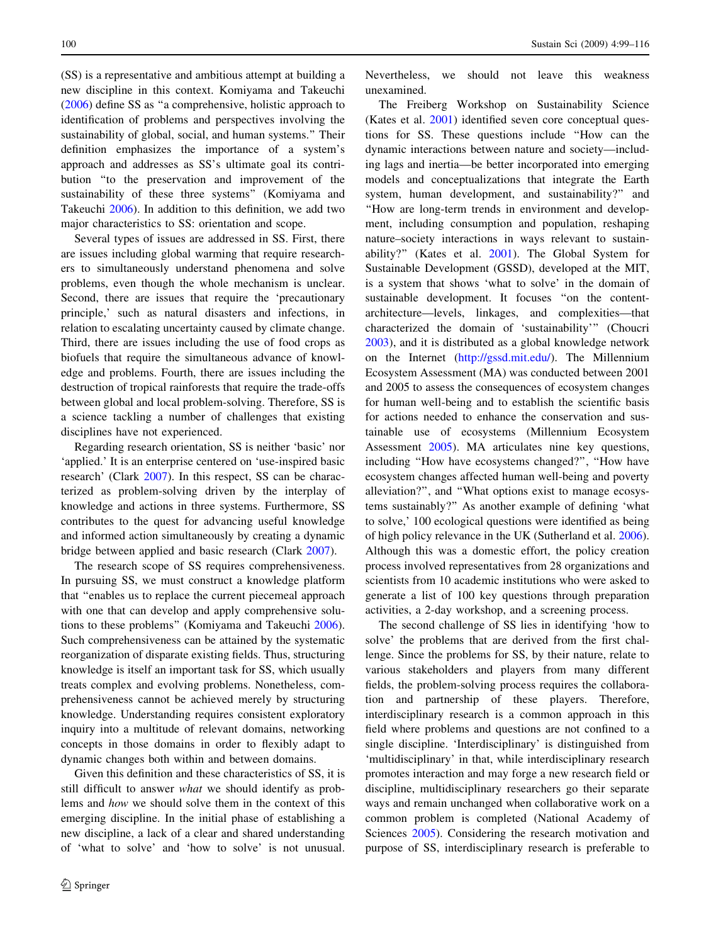(SS) is a representative and ambitious attempt at building a new discipline in this context. Komiyama and Takeuchi [\(2006](#page-17-0)) define SS as ''a comprehensive, holistic approach to identification of problems and perspectives involving the sustainability of global, social, and human systems.'' Their definition emphasizes the importance of a system's approach and addresses as SS's ultimate goal its contribution ''to the preservation and improvement of the sustainability of these three systems'' (Komiyama and Takeuchi [2006\)](#page-17-0). In addition to this definition, we add two major characteristics to SS: orientation and scope.

Several types of issues are addressed in SS. First, there are issues including global warming that require researchers to simultaneously understand phenomena and solve problems, even though the whole mechanism is unclear. Second, there are issues that require the 'precautionary principle,' such as natural disasters and infections, in relation to escalating uncertainty caused by climate change. Third, there are issues including the use of food crops as biofuels that require the simultaneous advance of knowledge and problems. Fourth, there are issues including the destruction of tropical rainforests that require the trade-offs between global and local problem-solving. Therefore, SS is a science tackling a number of challenges that existing disciplines have not experienced.

Regarding research orientation, SS is neither 'basic' nor 'applied.' It is an enterprise centered on 'use-inspired basic research' (Clark [2007](#page-17-0)). In this respect, SS can be characterized as problem-solving driven by the interplay of knowledge and actions in three systems. Furthermore, SS contributes to the quest for advancing useful knowledge and informed action simultaneously by creating a dynamic bridge between applied and basic research (Clark [2007\)](#page-17-0).

The research scope of SS requires comprehensiveness. In pursuing SS, we must construct a knowledge platform that ''enables us to replace the current piecemeal approach with one that can develop and apply comprehensive solutions to these problems'' (Komiyama and Takeuchi [2006](#page-17-0)). Such comprehensiveness can be attained by the systematic reorganization of disparate existing fields. Thus, structuring knowledge is itself an important task for SS, which usually treats complex and evolving problems. Nonetheless, comprehensiveness cannot be achieved merely by structuring knowledge. Understanding requires consistent exploratory inquiry into a multitude of relevant domains, networking concepts in those domains in order to flexibly adapt to dynamic changes both within and between domains.

Given this definition and these characteristics of SS, it is still difficult to answer what we should identify as problems and how we should solve them in the context of this emerging discipline. In the initial phase of establishing a new discipline, a lack of a clear and shared understanding of 'what to solve' and 'how to solve' is not unusual. Nevertheless, we should not leave this weakness unexamined.

The Freiberg Workshop on Sustainability Science (Kates et al. [2001](#page-17-0)) identified seven core conceptual questions for SS. These questions include ''How can the dynamic interactions between nature and society—including lags and inertia—be better incorporated into emerging models and conceptualizations that integrate the Earth system, human development, and sustainability?'' and ''How are long-term trends in environment and development, including consumption and population, reshaping nature–society interactions in ways relevant to sustainability?'' (Kates et al. [2001\)](#page-17-0). The Global System for Sustainable Development (GSSD), developed at the MIT, is a system that shows 'what to solve' in the domain of sustainable development. It focuses ''on the contentarchitecture—levels, linkages, and complexities—that characterized the domain of 'sustainability''' (Choucri [2003](#page-17-0)), and it is distributed as a global knowledge network on the Internet [\(http://gssd.mit.edu/](http://gssd.mit.edu/)). The Millennium Ecosystem Assessment (MA) was conducted between 2001 and 2005 to assess the consequences of ecosystem changes for human well-being and to establish the scientific basis for actions needed to enhance the conservation and sustainable use of ecosystems (Millennium Ecosystem Assessment [2005](#page-17-0)). MA articulates nine key questions, including ''How have ecosystems changed?'', ''How have ecosystem changes affected human well-being and poverty alleviation?'', and ''What options exist to manage ecosystems sustainably?'' As another example of defining 'what to solve,' 100 ecological questions were identified as being of high policy relevance in the UK (Sutherland et al. [2006](#page-17-0)). Although this was a domestic effort, the policy creation process involved representatives from 28 organizations and scientists from 10 academic institutions who were asked to generate a list of 100 key questions through preparation activities, a 2-day workshop, and a screening process.

The second challenge of SS lies in identifying 'how to solve' the problems that are derived from the first challenge. Since the problems for SS, by their nature, relate to various stakeholders and players from many different fields, the problem-solving process requires the collaboration and partnership of these players. Therefore, interdisciplinary research is a common approach in this field where problems and questions are not confined to a single discipline. 'Interdisciplinary' is distinguished from 'multidisciplinary' in that, while interdisciplinary research promotes interaction and may forge a new research field or discipline, multidisciplinary researchers go their separate ways and remain unchanged when collaborative work on a common problem is completed (National Academy of Sciences [2005](#page-17-0)). Considering the research motivation and purpose of SS, interdisciplinary research is preferable to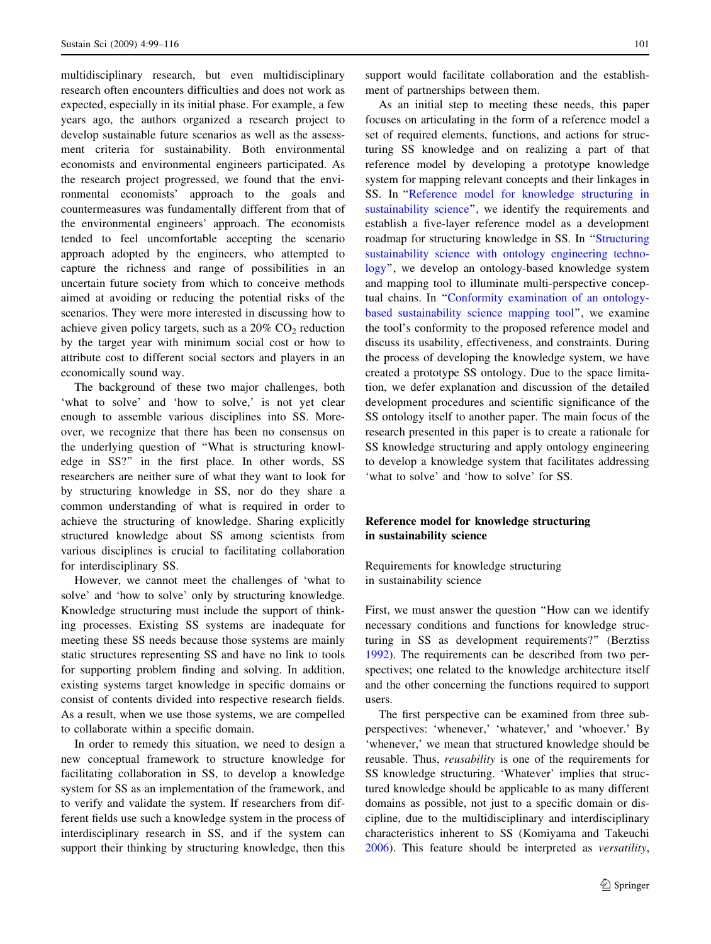<span id="page-2-0"></span>multidisciplinary research, but even multidisciplinary research often encounters difficulties and does not work as expected, especially in its initial phase. For example, a few years ago, the authors organized a research project to develop sustainable future scenarios as well as the assessment criteria for sustainability. Both environmental economists and environmental engineers participated. As the research project progressed, we found that the environmental economists' approach to the goals and countermeasures was fundamentally different from that of the environmental engineers' approach. The economists tended to feel uncomfortable accepting the scenario approach adopted by the engineers, who attempted to capture the richness and range of possibilities in an uncertain future society from which to conceive methods aimed at avoiding or reducing the potential risks of the scenarios. They were more interested in discussing how to achieve given policy targets, such as a  $20\%$  CO<sub>2</sub> reduction by the target year with minimum social cost or how to attribute cost to different social sectors and players in an economically sound way.

The background of these two major challenges, both 'what to solve' and 'how to solve,' is not yet clear enough to assemble various disciplines into SS. Moreover, we recognize that there has been no consensus on the underlying question of ''What is structuring knowledge in SS?'' in the first place. In other words, SS researchers are neither sure of what they want to look for by structuring knowledge in SS, nor do they share a common understanding of what is required in order to achieve the structuring of knowledge. Sharing explicitly structured knowledge about SS among scientists from various disciplines is crucial to facilitating collaboration for interdisciplinary SS.

However, we cannot meet the challenges of 'what to solve' and 'how to solve' only by structuring knowledge. Knowledge structuring must include the support of thinking processes. Existing SS systems are inadequate for meeting these SS needs because those systems are mainly static structures representing SS and have no link to tools for supporting problem finding and solving. In addition, existing systems target knowledge in specific domains or consist of contents divided into respective research fields. As a result, when we use those systems, we are compelled to collaborate within a specific domain.

In order to remedy this situation, we need to design a new conceptual framework to structure knowledge for facilitating collaboration in SS, to develop a knowledge system for SS as an implementation of the framework, and to verify and validate the system. If researchers from different fields use such a knowledge system in the process of interdisciplinary research in SS, and if the system can support their thinking by structuring knowledge, then this support would facilitate collaboration and the establishment of partnerships between them.

As an initial step to meeting these needs, this paper focuses on articulating in the form of a reference model a set of required elements, functions, and actions for structuring SS knowledge and on realizing a part of that reference model by developing a prototype knowledge system for mapping relevant concepts and their linkages in SS. In ''Reference model for knowledge structuring in sustainability science", we identify the requirements and establish a five-layer reference model as a development roadmap for structuring knowledge in SS. In '['Structuring](#page-5-0) [sustainability science with ontology engineering techno](#page-5-0)[logy'](#page-5-0)', we develop an ontology-based knowledge system and mapping tool to illuminate multi-perspective conceptual chains. In '['Conformity examination of an ontology](#page-12-0)[based sustainability science mapping tool](#page-12-0)'', we examine the tool's conformity to the proposed reference model and discuss its usability, effectiveness, and constraints. During the process of developing the knowledge system, we have created a prototype SS ontology. Due to the space limitation, we defer explanation and discussion of the detailed development procedures and scientific significance of the SS ontology itself to another paper. The main focus of the research presented in this paper is to create a rationale for SS knowledge structuring and apply ontology engineering to develop a knowledge system that facilitates addressing 'what to solve' and 'how to solve' for SS.

## Reference model for knowledge structuring in sustainability science

Requirements for knowledge structuring in sustainability science

First, we must answer the question ''How can we identify necessary conditions and functions for knowledge structuring in SS as development requirements?'' (Berztiss [1992](#page-16-0)). The requirements can be described from two perspectives; one related to the knowledge architecture itself and the other concerning the functions required to support users.

The first perspective can be examined from three subperspectives: 'whenever,' 'whatever,' and 'whoever.' By 'whenever,' we mean that structured knowledge should be reusable. Thus, reusability is one of the requirements for SS knowledge structuring. 'Whatever' implies that structured knowledge should be applicable to as many different domains as possible, not just to a specific domain or discipline, due to the multidisciplinary and interdisciplinary characteristics inherent to SS (Komiyama and Takeuchi [2006](#page-17-0)). This feature should be interpreted as versatility,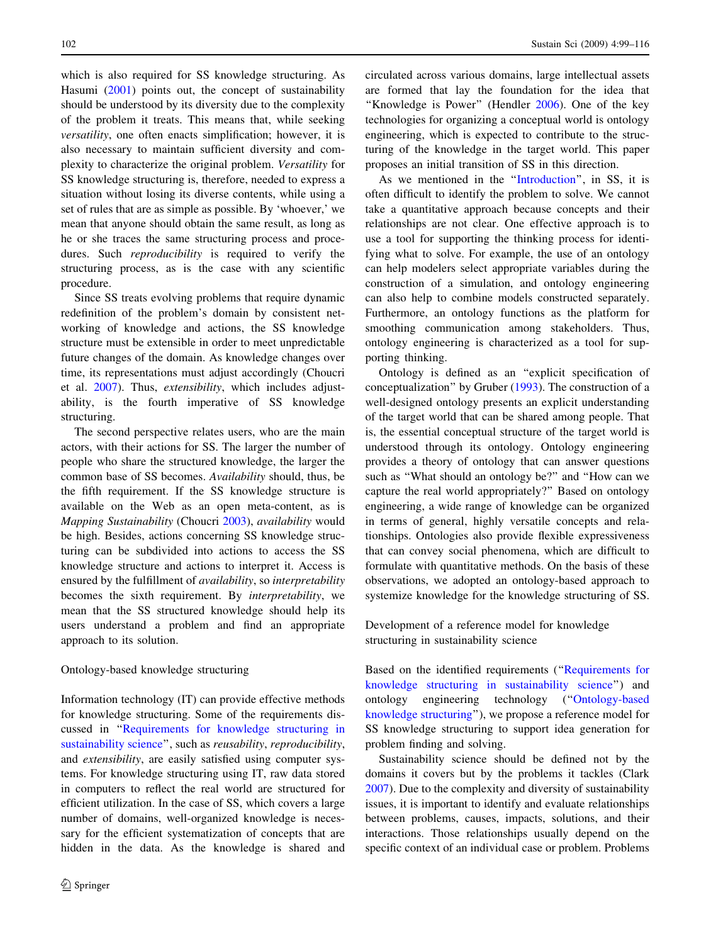which is also required for SS knowledge structuring. As Hasumi [\(2001](#page-17-0)) points out, the concept of sustainability should be understood by its diversity due to the complexity of the problem it treats. This means that, while seeking versatility, one often enacts simplification; however, it is also necessary to maintain sufficient diversity and complexity to characterize the original problem. Versatility for SS knowledge structuring is, therefore, needed to express a situation without losing its diverse contents, while using a set of rules that are as simple as possible. By 'whoever,' we mean that anyone should obtain the same result, as long as he or she traces the same structuring process and procedures. Such *reproducibility* is required to verify the structuring process, as is the case with any scientific procedure.

Since SS treats evolving problems that require dynamic redefinition of the problem's domain by consistent networking of knowledge and actions, the SS knowledge structure must be extensible in order to meet unpredictable future changes of the domain. As knowledge changes over time, its representations must adjust accordingly (Choucri et al. [2007\)](#page-17-0). Thus, extensibility, which includes adjustability, is the fourth imperative of SS knowledge structuring.

The second perspective relates users, who are the main actors, with their actions for SS. The larger the number of people who share the structured knowledge, the larger the common base of SS becomes. Availability should, thus, be the fifth requirement. If the SS knowledge structure is available on the Web as an open meta-content, as is Mapping Sustainability (Choucri [2003\)](#page-17-0), availability would be high. Besides, actions concerning SS knowledge structuring can be subdivided into actions to access the SS knowledge structure and actions to interpret it. Access is ensured by the fulfillment of availability, so interpretability becomes the sixth requirement. By interpretability, we mean that the SS structured knowledge should help its users understand a problem and find an appropriate approach to its solution.

## Ontology-based knowledge structuring

Information technology (IT) can provide effective methods for knowledge structuring. Some of the requirements discussed in ''[Requirements for knowledge structuring in](#page-2-0) sustainability science", such as *reusability*, *reproducibility*, and extensibility, are easily satisfied using computer systems. For knowledge structuring using IT, raw data stored in computers to reflect the real world are structured for efficient utilization. In the case of SS, which covers a large number of domains, well-organized knowledge is necessary for the efficient systematization of concepts that are hidden in the data. As the knowledge is shared and circulated across various domains, large intellectual assets are formed that lay the foundation for the idea that "Knowledge is Power" (Hendler [2006\)](#page-17-0). One of the key technologies for organizing a conceptual world is ontology engineering, which is expected to contribute to the structuring of the knowledge in the target world. This paper proposes an initial transition of SS in this direction.

As we mentioned in the '['Introduction'](#page-0-0)', in SS, it is often difficult to identify the problem to solve. We cannot take a quantitative approach because concepts and their relationships are not clear. One effective approach is to use a tool for supporting the thinking process for identifying what to solve. For example, the use of an ontology can help modelers select appropriate variables during the construction of a simulation, and ontology engineering can also help to combine models constructed separately. Furthermore, an ontology functions as the platform for smoothing communication among stakeholders. Thus, ontology engineering is characterized as a tool for supporting thinking.

Ontology is defined as an ''explicit specification of conceptualization'' by Gruber [\(1993](#page-17-0)). The construction of a well-designed ontology presents an explicit understanding of the target world that can be shared among people. That is, the essential conceptual structure of the target world is understood through its ontology. Ontology engineering provides a theory of ontology that can answer questions such as "What should an ontology be?" and "How can we capture the real world appropriately?'' Based on ontology engineering, a wide range of knowledge can be organized in terms of general, highly versatile concepts and relationships. Ontologies also provide flexible expressiveness that can convey social phenomena, which are difficult to formulate with quantitative methods. On the basis of these observations, we adopted an ontology-based approach to systemize knowledge for the knowledge structuring of SS.

## Development of a reference model for knowledge structuring in sustainability science

Based on the identified requirements (''[Requirements for](#page-2-0) [knowledge structuring in sustainability science'](#page-2-0)') and ontology engineering technology (''Ontology-based knowledge structuring''), we propose a reference model for SS knowledge structuring to support idea generation for problem finding and solving.

Sustainability science should be defined not by the domains it covers but by the problems it tackles (Clark [2007](#page-17-0)). Due to the complexity and diversity of sustainability issues, it is important to identify and evaluate relationships between problems, causes, impacts, solutions, and their interactions. Those relationships usually depend on the specific context of an individual case or problem. Problems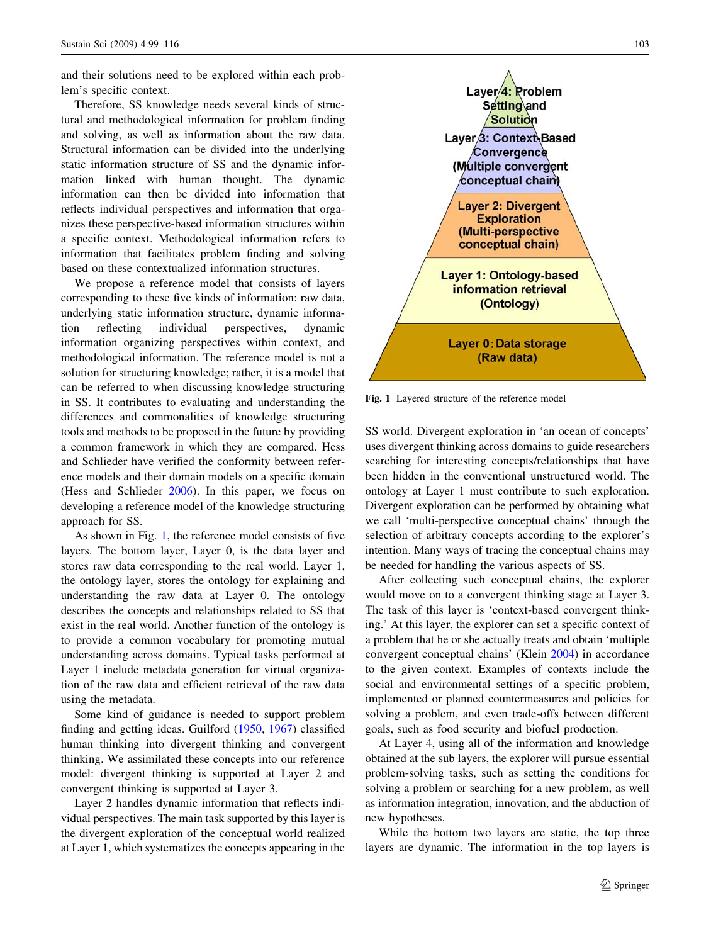and their solutions need to be explored within each problem's specific context.

Therefore, SS knowledge needs several kinds of structural and methodological information for problem finding and solving, as well as information about the raw data. Structural information can be divided into the underlying static information structure of SS and the dynamic information linked with human thought. The dynamic information can then be divided into information that reflects individual perspectives and information that organizes these perspective-based information structures within a specific context. Methodological information refers to information that facilitates problem finding and solving based on these contextualized information structures.

We propose a reference model that consists of layers corresponding to these five kinds of information: raw data, underlying static information structure, dynamic information reflecting individual perspectives, dynamic information organizing perspectives within context, and methodological information. The reference model is not a solution for structuring knowledge; rather, it is a model that can be referred to when discussing knowledge structuring in SS. It contributes to evaluating and understanding the differences and commonalities of knowledge structuring tools and methods to be proposed in the future by providing a common framework in which they are compared. Hess and Schlieder have verified the conformity between reference models and their domain models on a specific domain (Hess and Schlieder [2006](#page-17-0)). In this paper, we focus on developing a reference model of the knowledge structuring approach for SS.

As shown in Fig. 1, the reference model consists of five layers. The bottom layer, Layer 0, is the data layer and stores raw data corresponding to the real world. Layer 1, the ontology layer, stores the ontology for explaining and understanding the raw data at Layer 0. The ontology describes the concepts and relationships related to SS that exist in the real world. Another function of the ontology is to provide a common vocabulary for promoting mutual understanding across domains. Typical tasks performed at Layer 1 include metadata generation for virtual organization of the raw data and efficient retrieval of the raw data using the metadata.

Some kind of guidance is needed to support problem finding and getting ideas. Guilford [\(1950](#page-17-0), [1967](#page-17-0)) classified human thinking into divergent thinking and convergent thinking. We assimilated these concepts into our reference model: divergent thinking is supported at Layer 2 and convergent thinking is supported at Layer 3.

Layer 2 handles dynamic information that reflects individual perspectives. The main task supported by this layer is the divergent exploration of the conceptual world realized at Layer 1, which systematizes the concepts appearing in the



Fig. 1 Layered structure of the reference model

SS world. Divergent exploration in 'an ocean of concepts' uses divergent thinking across domains to guide researchers searching for interesting concepts/relationships that have been hidden in the conventional unstructured world. The ontology at Layer 1 must contribute to such exploration. Divergent exploration can be performed by obtaining what we call 'multi-perspective conceptual chains' through the selection of arbitrary concepts according to the explorer's intention. Many ways of tracing the conceptual chains may be needed for handling the various aspects of SS.

After collecting such conceptual chains, the explorer would move on to a convergent thinking stage at Layer 3. The task of this layer is 'context-based convergent thinking.' At this layer, the explorer can set a specific context of a problem that he or she actually treats and obtain 'multiple convergent conceptual chains' (Klein [2004](#page-17-0)) in accordance to the given context. Examples of contexts include the social and environmental settings of a specific problem, implemented or planned countermeasures and policies for solving a problem, and even trade-offs between different goals, such as food security and biofuel production.

At Layer 4, using all of the information and knowledge obtained at the sub layers, the explorer will pursue essential problem-solving tasks, such as setting the conditions for solving a problem or searching for a new problem, as well as information integration, innovation, and the abduction of new hypotheses.

While the bottom two layers are static, the top three layers are dynamic. The information in the top layers is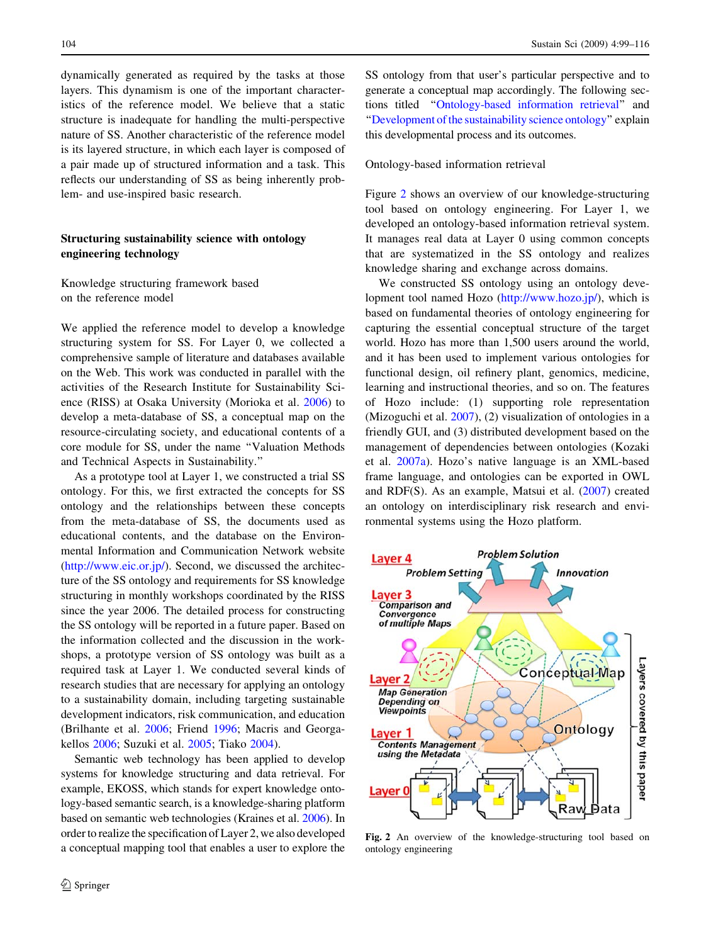<span id="page-5-0"></span>dynamically generated as required by the tasks at those layers. This dynamism is one of the important characteristics of the reference model. We believe that a static structure is inadequate for handling the multi-perspective nature of SS. Another characteristic of the reference model is its layered structure, in which each layer is composed of a pair made up of structured information and a task. This reflects our understanding of SS as being inherently problem- and use-inspired basic research.

# Structuring sustainability science with ontology engineering technology

Knowledge structuring framework based on the reference model

We applied the reference model to develop a knowledge structuring system for SS. For Layer 0, we collected a comprehensive sample of literature and databases available on the Web. This work was conducted in parallel with the activities of the Research Institute for Sustainability Science (RISS) at Osaka University (Morioka et al. [2006\)](#page-17-0) to develop a meta-database of SS, a conceptual map on the resource-circulating society, and educational contents of a core module for SS, under the name ''Valuation Methods and Technical Aspects in Sustainability.''

As a prototype tool at Layer 1, we constructed a trial SS ontology. For this, we first extracted the concepts for SS ontology and the relationships between these concepts from the meta-database of SS, the documents used as educational contents, and the database on the Environmental Information and Communication Network website [\(http://www.eic.or.jp/](http://www.eic.or.jp/)). Second, we discussed the architecture of the SS ontology and requirements for SS knowledge structuring in monthly workshops coordinated by the RISS since the year 2006. The detailed process for constructing the SS ontology will be reported in a future paper. Based on the information collected and the discussion in the workshops, a prototype version of SS ontology was built as a required task at Layer 1. We conducted several kinds of research studies that are necessary for applying an ontology to a sustainability domain, including targeting sustainable development indicators, risk communication, and education (Brilhante et al. [2006](#page-16-0); Friend [1996;](#page-17-0) Macris and Georgakellos [2006;](#page-17-0) Suzuki et al. [2005](#page-17-0); Tiako [2004\)](#page-17-0).

Semantic web technology has been applied to develop systems for knowledge structuring and data retrieval. For example, EKOSS, which stands for expert knowledge ontology-based semantic search, is a knowledge-sharing platform based on semantic web technologies (Kraines et al. [2006\)](#page-17-0). In order to realize the specification of Layer 2, we also developed a conceptual mapping tool that enables a user to explore the SS ontology from that user's particular perspective and to generate a conceptual map accordingly. The following sections titled ''Ontology-based information retrieval'' and '['Development of the sustainability science ontology](#page-6-0)'' explain this developmental process and its outcomes.

#### Ontology-based information retrieval

Figure 2 shows an overview of our knowledge-structuring tool based on ontology engineering. For Layer 1, we developed an ontology-based information retrieval system. It manages real data at Layer 0 using common concepts that are systematized in the SS ontology and realizes knowledge sharing and exchange across domains.

We constructed SS ontology using an ontology development tool named Hozo (<http://www.hozo.jp/>), which is based on fundamental theories of ontology engineering for capturing the essential conceptual structure of the target world. Hozo has more than 1,500 users around the world, and it has been used to implement various ontologies for functional design, oil refinery plant, genomics, medicine, learning and instructional theories, and so on. The features of Hozo include: (1) supporting role representation (Mizoguchi et al. [2007\)](#page-17-0), (2) visualization of ontologies in a friendly GUI, and (3) distributed development based on the management of dependencies between ontologies (Kozaki et al. [2007a\)](#page-17-0). Hozo's native language is an XML-based frame language, and ontologies can be exported in OWL and RDF(S). As an example, Matsui et al. [\(2007](#page-17-0)) created an ontology on interdisciplinary risk research and environmental systems using the Hozo platform.



Fig. 2 An overview of the knowledge-structuring tool based on ontology engineering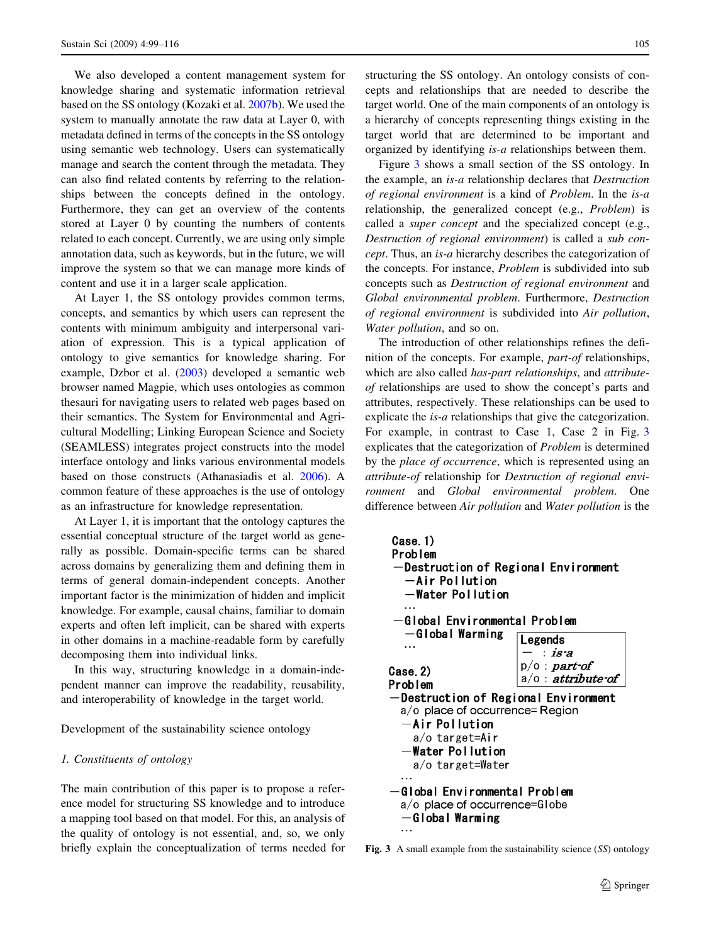<span id="page-6-0"></span>We also developed a content management system for knowledge sharing and systematic information retrieval based on the SS ontology (Kozaki et al. [2007b\)](#page-17-0). We used the system to manually annotate the raw data at Layer 0, with metadata defined in terms of the concepts in the SS ontology using semantic web technology. Users can systematically manage and search the content through the metadata. They can also find related contents by referring to the relationships between the concepts defined in the ontology. Furthermore, they can get an overview of the contents stored at Layer 0 by counting the numbers of contents related to each concept. Currently, we are using only simple annotation data, such as keywords, but in the future, we will improve the system so that we can manage more kinds of content and use it in a larger scale application.

At Layer 1, the SS ontology provides common terms, concepts, and semantics by which users can represent the contents with minimum ambiguity and interpersonal variation of expression. This is a typical application of ontology to give semantics for knowledge sharing. For example, Dzbor et al. [\(2003](#page-17-0)) developed a semantic web browser named Magpie, which uses ontologies as common thesauri for navigating users to related web pages based on their semantics. The System for Environmental and Agricultural Modelling; Linking European Science and Society (SEAMLESS) integrates project constructs into the model interface ontology and links various environmental models based on those constructs (Athanasiadis et al. [2006](#page-16-0)). A common feature of these approaches is the use of ontology as an infrastructure for knowledge representation.

At Layer 1, it is important that the ontology captures the essential conceptual structure of the target world as generally as possible. Domain-specific terms can be shared across domains by generalizing them and defining them in terms of general domain-independent concepts. Another important factor is the minimization of hidden and implicit knowledge. For example, causal chains, familiar to domain experts and often left implicit, can be shared with experts in other domains in a machine-readable form by carefully decomposing them into individual links.

In this way, structuring knowledge in a domain-independent manner can improve the readability, reusability, and interoperability of knowledge in the target world.

Development of the sustainability science ontology

### 1. Constituents of ontology

The main contribution of this paper is to propose a reference model for structuring SS knowledge and to introduce a mapping tool based on that model. For this, an analysis of the quality of ontology is not essential, and, so, we only briefly explain the conceptualization of terms needed for structuring the SS ontology. An ontology consists of concepts and relationships that are needed to describe the target world. One of the main components of an ontology is a hierarchy of concepts representing things existing in the target world that are determined to be important and organized by identifying is-a relationships between them.

Figure 3 shows a small section of the SS ontology. In the example, an is-a relationship declares that Destruction of regional environment is a kind of Problem. In the is-a relationship, the generalized concept (e.g., Problem) is called a super concept and the specialized concept (e.g., Destruction of regional environment) is called a sub concept. Thus, an is-a hierarchy describes the categorization of the concepts. For instance, Problem is subdivided into sub concepts such as Destruction of regional environment and Global environmental problem. Furthermore, Destruction of regional environment is subdivided into Air pollution, Water *pollution*, and so on.

The introduction of other relationships refines the definition of the concepts. For example, part-of relationships, which are also called *has-part relationships*, and *attribute*of relationships are used to show the concept's parts and attributes, respectively. These relationships can be used to explicate the is-a relationships that give the categorization. For example, in contrast to Case 1, Case 2 in Fig. 3 explicates that the categorization of Problem is determined by the place of occurrence, which is represented using an attribute-of relationship for Destruction of regional environment and Global environmental problem. One difference between Air pollution and Water pollution is the

| Case. 1)<br>Problem<br>$-$ Destruction of Regional Environment<br>$-A$ ir Pollution<br>—Water Pollution |                                                    |  |  |  |
|---------------------------------------------------------------------------------------------------------|----------------------------------------------------|--|--|--|
| —Global Environmental Problem                                                                           |                                                    |  |  |  |
| -Global Warming                                                                                         | Legends                                            |  |  |  |
| Case. 2)<br>Problem                                                                                     | $-$ : is a<br>p/o : part of<br>$a/o:$ attribute of |  |  |  |
| -Destruction of Regional Environment<br>a/o_place of occurrence= Region                                 |                                                    |  |  |  |
| $-A$ ir Pollution                                                                                       |                                                    |  |  |  |
| a/o target=Air                                                                                          |                                                    |  |  |  |
| $-Water$ Pollution                                                                                      |                                                    |  |  |  |
| a/o target=Water                                                                                        |                                                    |  |  |  |
| —Global Environmental Problem<br>a/o place of occurrence=Globe<br>-Global Warming                       |                                                    |  |  |  |

Fig. 3 A small example from the sustainability science (SS) ontology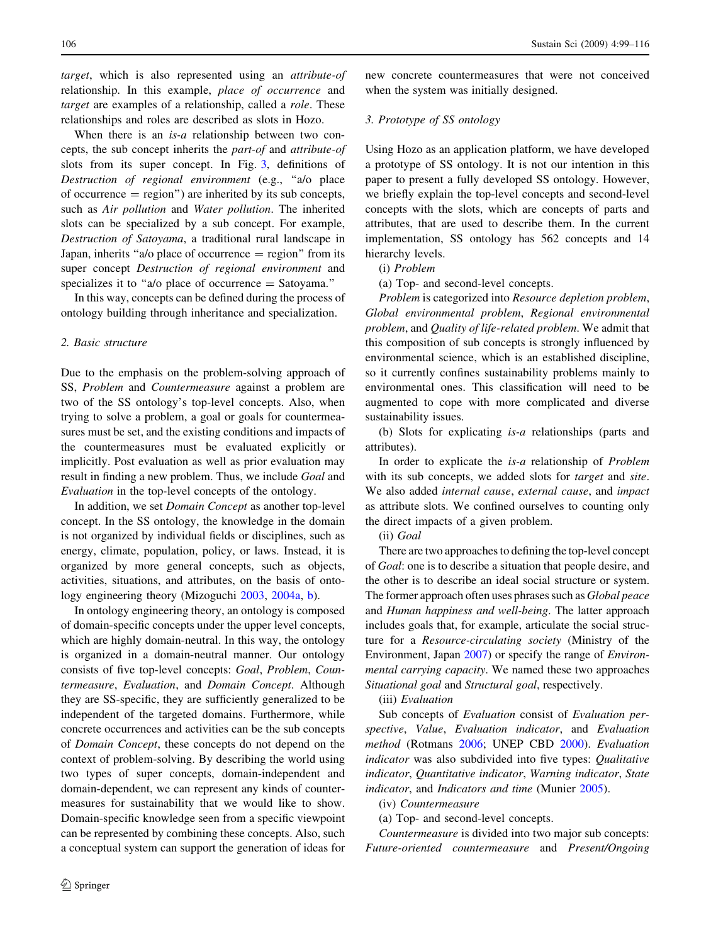target, which is also represented using an attribute-of relationship. In this example, place of occurrence and target are examples of a relationship, called a role. These relationships and roles are described as slots in Hozo.

When there is an *is-a* relationship between two concepts, the sub concept inherits the part-of and attribute-of slots from its super concept. In Fig. [3,](#page-6-0) definitions of Destruction of regional environment (e.g., ''a/o place of occurrence  $=$  region") are inherited by its sub concepts, such as Air pollution and Water pollution. The inherited slots can be specialized by a sub concept. For example, Destruction of Satoyama, a traditional rural landscape in Japan, inherits " $a/o$  place of occurrence  $=$  region" from its super concept Destruction of regional environment and specializes it to "a/o place of occurrence = Satoyama."

In this way, concepts can be defined during the process of ontology building through inheritance and specialization.

### 2. Basic structure

Due to the emphasis on the problem-solving approach of SS, Problem and Countermeasure against a problem are two of the SS ontology's top-level concepts. Also, when trying to solve a problem, a goal or goals for countermeasures must be set, and the existing conditions and impacts of the countermeasures must be evaluated explicitly or implicitly. Post evaluation as well as prior evaluation may result in finding a new problem. Thus, we include Goal and Evaluation in the top-level concepts of the ontology.

In addition, we set Domain Concept as another top-level concept. In the SS ontology, the knowledge in the domain is not organized by individual fields or disciplines, such as energy, climate, population, policy, or laws. Instead, it is organized by more general concepts, such as objects, activities, situations, and attributes, on the basis of ontology engineering theory (Mizoguchi [2003,](#page-17-0) [2004a,](#page-17-0) [b\)](#page-17-0).

In ontology engineering theory, an ontology is composed of domain-specific concepts under the upper level concepts, which are highly domain-neutral. In this way, the ontology is organized in a domain-neutral manner. Our ontology consists of five top-level concepts: Goal, Problem, Countermeasure, Evaluation, and Domain Concept. Although they are SS-specific, they are sufficiently generalized to be independent of the targeted domains. Furthermore, while concrete occurrences and activities can be the sub concepts of Domain Concept, these concepts do not depend on the context of problem-solving. By describing the world using two types of super concepts, domain-independent and domain-dependent, we can represent any kinds of countermeasures for sustainability that we would like to show. Domain-specific knowledge seen from a specific viewpoint can be represented by combining these concepts. Also, such a conceptual system can support the generation of ideas for new concrete countermeasures that were not conceived when the system was initially designed.

#### 3. Prototype of SS ontology

Using Hozo as an application platform, we have developed a prototype of SS ontology. It is not our intention in this paper to present a fully developed SS ontology. However, we briefly explain the top-level concepts and second-level concepts with the slots, which are concepts of parts and attributes, that are used to describe them. In the current implementation, SS ontology has 562 concepts and 14 hierarchy levels.

(i) Problem

(a) Top- and second-level concepts.

Problem is categorized into Resource depletion problem, Global environmental problem, Regional environmental problem, and Quality of life-related problem. We admit that this composition of sub concepts is strongly influenced by environmental science, which is an established discipline, so it currently confines sustainability problems mainly to environmental ones. This classification will need to be augmented to cope with more complicated and diverse sustainability issues.

(b) Slots for explicating is-a relationships (parts and attributes).

In order to explicate the *is-a* relationship of *Problem* with its sub concepts, we added slots for *target* and *site*. We also added internal cause, external cause, and impact as attribute slots. We confined ourselves to counting only the direct impacts of a given problem.

(ii) Goal

There are two approaches to defining the top-level concept of Goal: one is to describe a situation that people desire, and the other is to describe an ideal social structure or system. The former approach often uses phrases such as Global peace and Human happiness and well-being. The latter approach includes goals that, for example, articulate the social structure for a Resource-circulating society (Ministry of the Environment, Japan [2007\)](#page-17-0) or specify the range of Environmental carrying capacity. We named these two approaches Situational goal and Structural goal, respectively.

(iii) Evaluation

Sub concepts of Evaluation consist of Evaluation perspective, Value, Evaluation indicator, and Evaluation method (Rotmans [2006;](#page-17-0) UNEP CBD [2000](#page-17-0)). Evaluation indicator was also subdivided into five types: Qualitative indicator, Quantitative indicator, Warning indicator, State indicator, and Indicators and time (Munier [2005\)](#page-17-0).

(iv) Countermeasure

(a) Top- and second-level concepts.

Countermeasure is divided into two major sub concepts: Future-oriented countermeasure and Present/Ongoing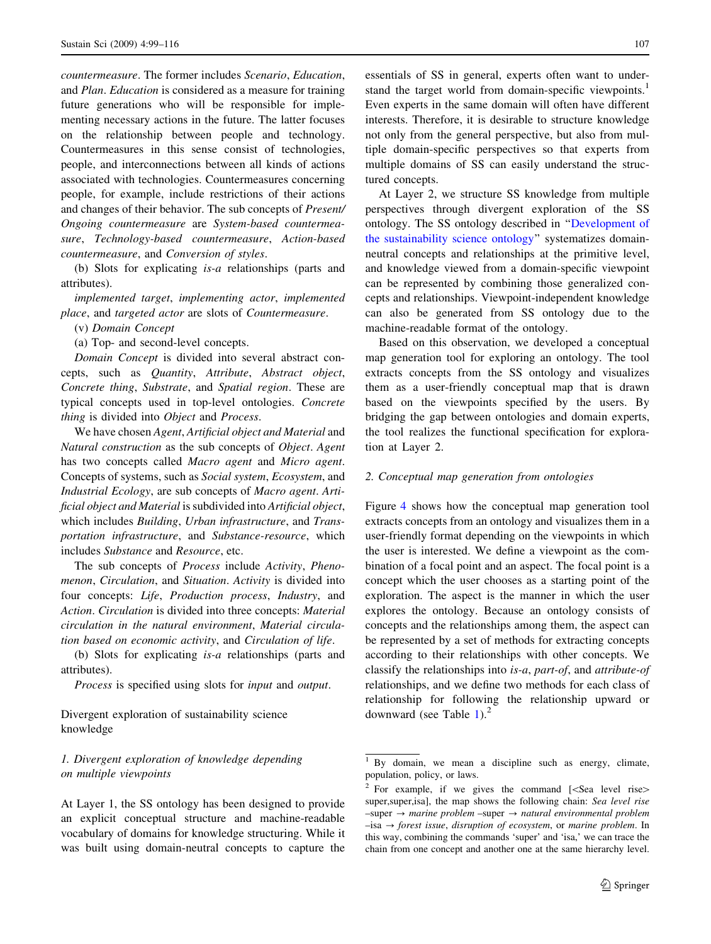countermeasure. The former includes Scenario, Education, and Plan. Education is considered as a measure for training future generations who will be responsible for implementing necessary actions in the future. The latter focuses on the relationship between people and technology. Countermeasures in this sense consist of technologies, people, and interconnections between all kinds of actions associated with technologies. Countermeasures concerning people, for example, include restrictions of their actions and changes of their behavior. The sub concepts of Present/ Ongoing countermeasure are System-based countermeasure, Technology-based countermeasure, Action-based countermeasure, and Conversion of styles.

(b) Slots for explicating is-a relationships (parts and attributes).

implemented target, implementing actor, implemented place, and targeted actor are slots of Countermeasure.

- (v) Domain Concept
- (a) Top- and second-level concepts.

Domain Concept is divided into several abstract concepts, such as Quantity, Attribute, Abstract object, Concrete thing, Substrate, and Spatial region. These are typical concepts used in top-level ontologies. Concrete thing is divided into Object and Process.

We have chosen Agent, Artificial object and Material and Natural construction as the sub concepts of Object. Agent has two concepts called Macro agent and Micro agent. Concepts of systems, such as Social system, Ecosystem, and Industrial Ecology, are sub concepts of Macro agent. Artificial object and Material is subdivided into Artificial object, which includes Building, Urban infrastructure, and Transportation infrastructure, and Substance-resource, which includes Substance and Resource, etc.

The sub concepts of Process include Activity, Phenomenon, Circulation, and Situation. Activity is divided into four concepts: Life, Production process, Industry, and Action. Circulation is divided into three concepts: Material circulation in the natural environment, Material circulation based on economic activity, and Circulation of life.

(b) Slots for explicating is-a relationships (parts and attributes).

Process is specified using slots for input and output.

Divergent exploration of sustainability science knowledge

## 1. Divergent exploration of knowledge depending on multiple viewpoints

At Layer 1, the SS ontology has been designed to provide an explicit conceptual structure and machine-readable vocabulary of domains for knowledge structuring. While it was built using domain-neutral concepts to capture the essentials of SS in general, experts often want to understand the target world from domain-specific viewpoints.<sup>1</sup> Even experts in the same domain will often have different interests. Therefore, it is desirable to structure knowledge not only from the general perspective, but also from multiple domain-specific perspectives so that experts from multiple domains of SS can easily understand the structured concepts.

At Layer 2, we structure SS knowledge from multiple perspectives through divergent exploration of the SS ontology. The SS ontology described in ''[Development of](#page-6-0) [the sustainability science ontology'](#page-6-0)' systematizes domainneutral concepts and relationships at the primitive level, and knowledge viewed from a domain-specific viewpoint can be represented by combining those generalized concepts and relationships. Viewpoint-independent knowledge can also be generated from SS ontology due to the machine-readable format of the ontology.

Based on this observation, we developed a conceptual map generation tool for exploring an ontology. The tool extracts concepts from the SS ontology and visualizes them as a user-friendly conceptual map that is drawn based on the viewpoints specified by the users. By bridging the gap between ontologies and domain experts, the tool realizes the functional specification for exploration at Layer 2.

## 2. Conceptual map generation from ontologies

Figure [4](#page-9-0) shows how the conceptual map generation tool extracts concepts from an ontology and visualizes them in a user-friendly format depending on the viewpoints in which the user is interested. We define a viewpoint as the combination of a focal point and an aspect. The focal point is a concept which the user chooses as a starting point of the exploration. The aspect is the manner in which the user explores the ontology. Because an ontology consists of concepts and the relationships among them, the aspect can be represented by a set of methods for extracting concepts according to their relationships with other concepts. We classify the relationships into is-a, part-of, and attribute-of relationships, and we define two methods for each class of relationship for following the relationship upward or downward (see Table [1](#page-9-0)). $^{2}$ 

<sup>&</sup>lt;sup>1</sup> By domain, we mean a discipline such as energy, climate, population, policy, or laws.

 $2$  For example, if we gives the command [ $\le$ Sea level rise $>$ super, super, isa], the map shows the following chain: Sea level rise  $-super \rightarrow marine problem -super \rightarrow natural environmental problem$  $-$ isa  $\rightarrow$  forest issue, disruption of ecosystem, or marine problem. In this way, combining the commands 'super' and 'isa,' we can trace the chain from one concept and another one at the same hierarchy level.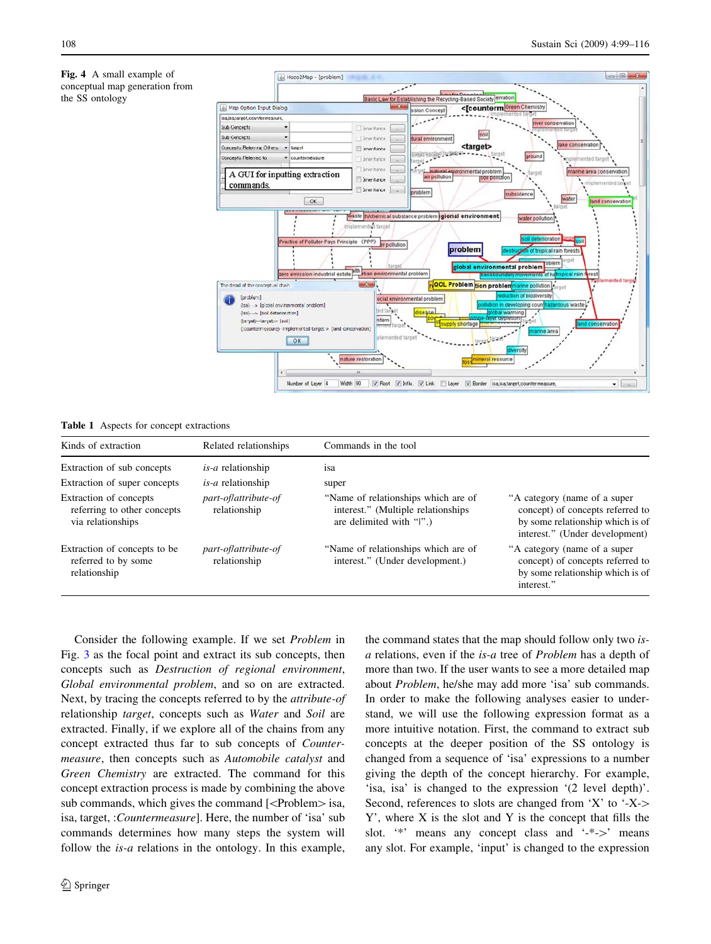<span id="page-9-0"></span>Fig. 4 A small example of conceptual map generation from the SS ontology



Table 1 Aspects for concept extractions

| Kinds of extraction                                                        | Related relationships                | Commands in the tool                                                                                  |                                                                                                                                        |
|----------------------------------------------------------------------------|--------------------------------------|-------------------------------------------------------------------------------------------------------|----------------------------------------------------------------------------------------------------------------------------------------|
| Extraction of sub concepts                                                 | <i>is-a</i> relationship             | isa                                                                                                   |                                                                                                                                        |
| Extraction of super concepts                                               | <i>is-a</i> relationship             | super                                                                                                 |                                                                                                                                        |
| Extraction of concepts<br>referring to other concepts<br>via relationships | part-oflattribute-of<br>relationship | "Name of relationships which are of<br>interest." (Multiple relationships<br>are delimited with " ".) | "A category (name of a super<br>concept) of concepts referred to<br>by some relationship which is of<br>interest." (Under development) |
| Extraction of concepts to be<br>referred to by some<br>relationship        | part-oflattribute-of<br>relationship | "Name of relationships which are of<br>interest." (Under development.)                                | "A category (name of a super<br>concept) of concepts referred to<br>by some relationship which is of<br>interest."                     |

Consider the following example. If we set Problem in Fig. [3](#page-6-0) as the focal point and extract its sub concepts, then concepts such as Destruction of regional environment, Global environmental problem, and so on are extracted. Next, by tracing the concepts referred to by the attribute-of relationship *target*, concepts such as *Water* and *Soil* are extracted. Finally, if we explore all of the chains from any concept extracted thus far to sub concepts of Countermeasure, then concepts such as Automobile catalyst and Green Chemistry are extracted. The command for this concept extraction process is made by combining the above sub commands, which gives the command  $\leq$ Problem $>$  isa, isa, target, :Countermeasure]. Here, the number of 'isa' sub commands determines how many steps the system will follow the  $is-a$  relations in the ontology. In this example,

the command states that the map should follow only two isa relations, even if the is-a tree of Problem has a depth of more than two. If the user wants to see a more detailed map about Problem, he/she may add more 'isa' sub commands. In order to make the following analyses easier to understand, we will use the following expression format as a more intuitive notation. First, the command to extract sub concepts at the deeper position of the SS ontology is changed from a sequence of 'isa' expressions to a number giving the depth of the concept hierarchy. For example, 'isa, isa' is changed to the expression '(2 level depth)'. Second, references to slots are changed from 'X' to '-X- $>$ Y', where X is the slot and Y is the concept that fills the slot.  $4$  means any concept class and  $4$  -\*- $>$  means any slot. For example, 'input' is changed to the expression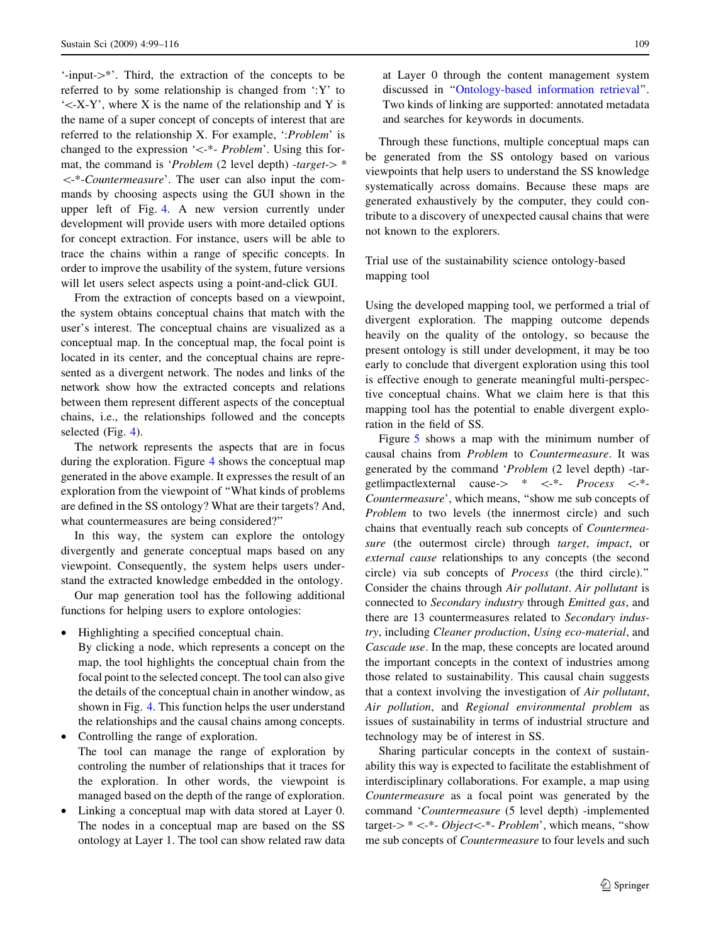<span id="page-10-0"></span> $\lq$ -input- $\lq$ <sup>\*</sup>. Third, the extraction of the concepts to be referred to by some relationship is changed from ':Y' to  $\leq$ -X-Y', where X is the name of the relationship and Y is the name of a super concept of concepts of interest that are referred to the relationship X. For example, ':Problem' is changed to the expression ' $\lt$ -\*- *Problem'*. Using this format, the command is '*Problem* (2 level depth) -target- $>$  \*  $\langle -\cdot \cdot \cdot$ -*Countermeasure'*. The user can also input the commands by choosing aspects using the GUI shown in the upper left of Fig. [4](#page-9-0). A new version currently under development will provide users with more detailed options for concept extraction. For instance, users will be able to trace the chains within a range of specific concepts. In order to improve the usability of the system, future versions will let users select aspects using a point-and-click GUI.

From the extraction of concepts based on a viewpoint, the system obtains conceptual chains that match with the user's interest. The conceptual chains are visualized as a conceptual map. In the conceptual map, the focal point is located in its center, and the conceptual chains are represented as a divergent network. The nodes and links of the network show how the extracted concepts and relations between them represent different aspects of the conceptual chains, i.e., the relationships followed and the concepts selected (Fig. [4](#page-9-0)).

The network represents the aspects that are in focus during the exploration. Figure [4](#page-9-0) shows the conceptual map generated in the above example. It expresses the result of an exploration from the viewpoint of ''What kinds of problems are defined in the SS ontology? What are their targets? And, what countermeasures are being considered?''

In this way, the system can explore the ontology divergently and generate conceptual maps based on any viewpoint. Consequently, the system helps users understand the extracted knowledge embedded in the ontology.

Our map generation tool has the following additional functions for helping users to explore ontologies:

- Highlighting a specified conceptual chain.
	- By clicking a node, which represents a concept on the map, the tool highlights the conceptual chain from the focal point to the selected concept. The tool can also give the details of the conceptual chain in another window, as shown in Fig. [4](#page-9-0). This function helps the user understand the relationships and the causal chains among concepts.
- Controlling the range of exploration. The tool can manage the range of exploration by controling the number of relationships that it traces for the exploration. In other words, the viewpoint is managed based on the depth of the range of exploration.
- Linking a conceptual map with data stored at Layer 0. The nodes in a conceptual map are based on the SS ontology at Layer 1. The tool can show related raw data

at Layer 0 through the content management system discussed in ''[Ontology-based information retrieval](#page-5-0)''. Two kinds of linking are supported: annotated metadata and searches for keywords in documents.

Through these functions, multiple conceptual maps can be generated from the SS ontology based on various viewpoints that help users to understand the SS knowledge systematically across domains. Because these maps are generated exhaustively by the computer, they could contribute to a discovery of unexpected causal chains that were not known to the explorers.

Trial use of the sustainability science ontology-based mapping tool

Using the developed mapping tool, we performed a trial of divergent exploration. The mapping outcome depends heavily on the quality of the ontology, so because the present ontology is still under development, it may be too early to conclude that divergent exploration using this tool is effective enough to generate meaningful multi-perspective conceptual chains. What we claim here is that this mapping tool has the potential to enable divergent exploration in the field of SS.

Figure [5](#page-11-0) shows a map with the minimum number of causal chains from Problem to Countermeasure. It was generated by the command 'Problem (2 level depth) -targetlimpactlexternal cause- $> * < *-$  Process  $< *$ -Countermeasure', which means, ''show me sub concepts of Problem to two levels (the innermost circle) and such chains that eventually reach sub concepts of Countermeasure (the outermost circle) through *target*, *impact*, or external cause relationships to any concepts (the second circle) via sub concepts of Process (the third circle).'' Consider the chains through Air pollutant. Air pollutant is connected to Secondary industry through Emitted gas, and there are 13 countermeasures related to Secondary industry, including Cleaner production, Using eco-material, and Cascade use. In the map, these concepts are located around the important concepts in the context of industries among those related to sustainability. This causal chain suggests that a context involving the investigation of Air pollutant, Air pollution, and Regional environmental problem as issues of sustainability in terms of industrial structure and technology may be of interest in SS.

Sharing particular concepts in the context of sustainability this way is expected to facilitate the establishment of interdisciplinary collaborations. For example, a map using Countermeasure as a focal point was generated by the command 'Countermeasure (5 level depth) -implemented target- $>^* <^*$ - Object $<^*$ - Problem', which means, "show me sub concepts of Countermeasure to four levels and such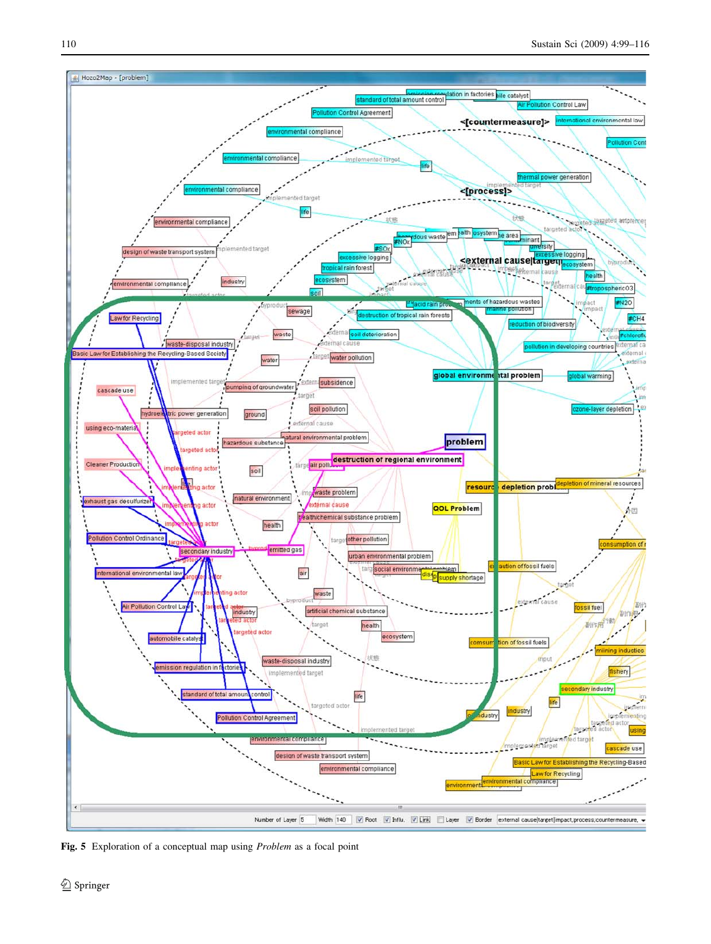<span id="page-11-0"></span>

Fig. 5 Exploration of a conceptual map using Problem as a focal point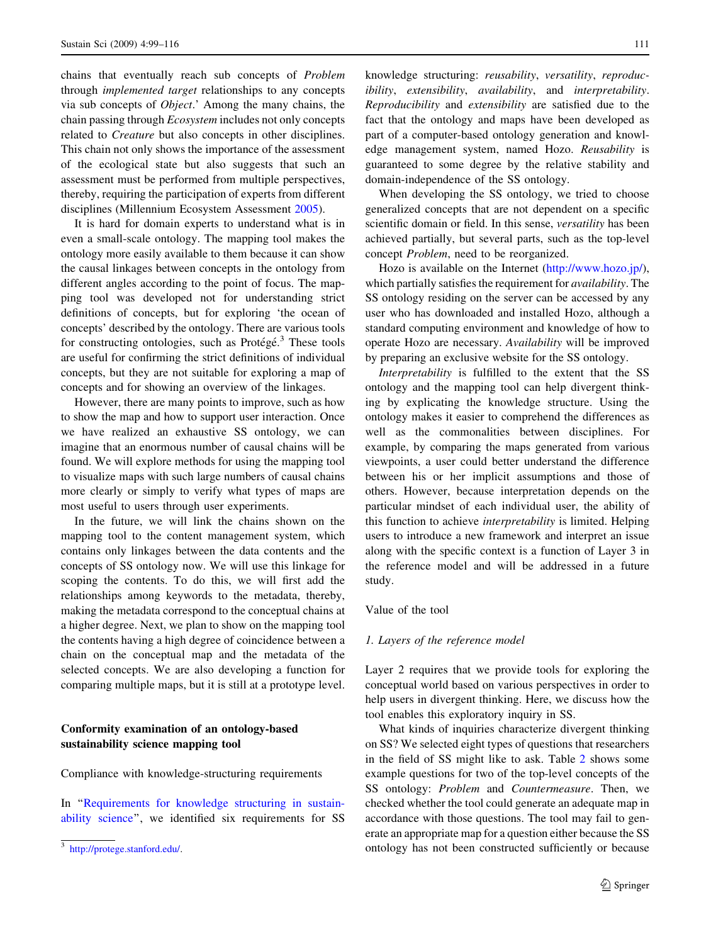<span id="page-12-0"></span>chains that eventually reach sub concepts of Problem through implemented target relationships to any concepts via sub concepts of Object.' Among the many chains, the chain passing through Ecosystem includes not only concepts related to Creature but also concepts in other disciplines. This chain not only shows the importance of the assessment of the ecological state but also suggests that such an assessment must be performed from multiple perspectives, thereby, requiring the participation of experts from different disciplines (Millennium Ecosystem Assessment [2005\)](#page-17-0).

It is hard for domain experts to understand what is in even a small-scale ontology. The mapping tool makes the ontology more easily available to them because it can show the causal linkages between concepts in the ontology from different angles according to the point of focus. The mapping tool was developed not for understanding strict definitions of concepts, but for exploring 'the ocean of concepts' described by the ontology. There are various tools for constructing ontologies, such as Protégé. $3$  These tools are useful for confirming the strict definitions of individual concepts, but they are not suitable for exploring a map of concepts and for showing an overview of the linkages.

However, there are many points to improve, such as how to show the map and how to support user interaction. Once we have realized an exhaustive SS ontology, we can imagine that an enormous number of causal chains will be found. We will explore methods for using the mapping tool to visualize maps with such large numbers of causal chains more clearly or simply to verify what types of maps are most useful to users through user experiments.

In the future, we will link the chains shown on the mapping tool to the content management system, which contains only linkages between the data contents and the concepts of SS ontology now. We will use this linkage for scoping the contents. To do this, we will first add the relationships among keywords to the metadata, thereby, making the metadata correspond to the conceptual chains at a higher degree. Next, we plan to show on the mapping tool the contents having a high degree of coincidence between a chain on the conceptual map and the metadata of the selected concepts. We are also developing a function for comparing multiple maps, but it is still at a prototype level.

# Conformity examination of an ontology-based sustainability science mapping tool

Compliance with knowledge-structuring requirements

In "[Requirements for knowledge structuring in sustain](#page-2-0)[ability science'](#page-2-0)', we identified six requirements for SS

knowledge structuring: reusability, versatility, reproducibility, extensibility, availability, and interpretability. Reproducibility and extensibility are satisfied due to the fact that the ontology and maps have been developed as part of a computer-based ontology generation and knowledge management system, named Hozo. Reusability is guaranteed to some degree by the relative stability and domain-independence of the SS ontology.

When developing the SS ontology, we tried to choose generalized concepts that are not dependent on a specific scientific domain or field. In this sense, versatility has been achieved partially, but several parts, such as the top-level concept Problem, need to be reorganized.

Hozo is available on the Internet (<http://www.hozo.jp/>), which partially satisfies the requirement for *availability*. The SS ontology residing on the server can be accessed by any user who has downloaded and installed Hozo, although a standard computing environment and knowledge of how to operate Hozo are necessary. Availability will be improved by preparing an exclusive website for the SS ontology.

Interpretability is fulfilled to the extent that the SS ontology and the mapping tool can help divergent thinking by explicating the knowledge structure. Using the ontology makes it easier to comprehend the differences as well as the commonalities between disciplines. For example, by comparing the maps generated from various viewpoints, a user could better understand the difference between his or her implicit assumptions and those of others. However, because interpretation depends on the particular mindset of each individual user, the ability of this function to achieve interpretability is limited. Helping users to introduce a new framework and interpret an issue along with the specific context is a function of Layer 3 in the reference model and will be addressed in a future study.

## Value of the tool

#### 1. Layers of the reference model

Layer 2 requires that we provide tools for exploring the conceptual world based on various perspectives in order to help users in divergent thinking. Here, we discuss how the tool enables this exploratory inquiry in SS.

What kinds of inquiries characterize divergent thinking on SS? We selected eight types of questions that researchers in the field of SS might like to ask. Table [2](#page-13-0) shows some example questions for two of the top-level concepts of the SS ontology: Problem and Countermeasure. Then, we checked whether the tool could generate an adequate map in accordance with those questions. The tool may fail to generate an appropriate map for a question either because the SS <sup>3</sup> [http://protege.stanford.edu/.](http://protege.stanford.edu/) ontology has not been constructed sufficiently or because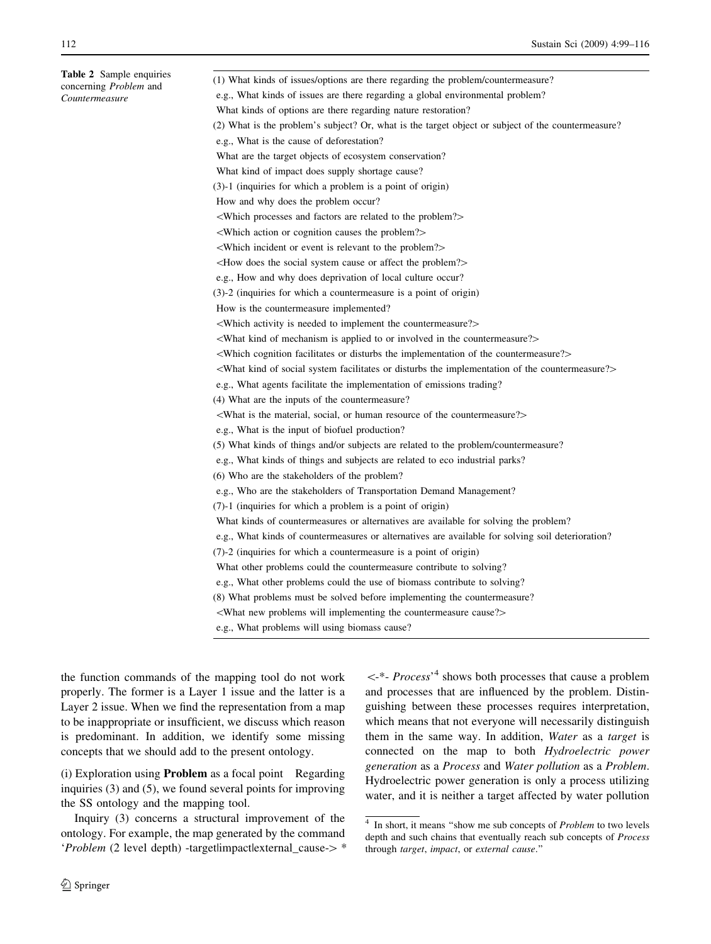<span id="page-13-0"></span>Table 2 Sample enquiries concerning Problem and Countermeasure (1) What kinds of issues/options are there regarding the problem/countermeasure? e.g., What kinds of issues are there regarding a global environmental problem? What kinds of options are there regarding nature restoration? (2) What is the problem's subject? Or, what is the target object or subject of the countermeasure? e.g., What is the cause of deforestation? What are the target objects of ecosystem conservation? What kind of impact does supply shortage cause? (3)-1 (inquiries for which a problem is a point of origin) How and why does the problem occur?  $\leq$ Which processes and factors are related to the problem? $\geq$  $\leq$ Which action or cognition causes the problem? $>$  $\leq$ Which incident or event is relevant to the problem? $>$  $\leq$ How does the social system cause or affect the problem? $>$ e.g., How and why does deprivation of local culture occur? (3)-2 (inquiries for which a countermeasure is a point of origin) How is the countermeasure implemented?  $\le$ Which activity is needed to implement the countermeasure? $>$  $\ll$ What kind of mechanism is applied to or involved in the countermeasure? $\gt$  $\ll$ Which cognition facilitates or disturbs the implementation of the countermeasure? $\gt$ \What kind of social system facilitates or disturbs the implementation of the countermeasure?[

e.g., What agents facilitate the implementation of emissions trading?

(4) What are the inputs of the countermeasure?

 $\leq$ What is the material, social, or human resource of the countermeasure? $\geq$ 

e.g., What is the input of biofuel production?

(5) What kinds of things and/or subjects are related to the problem/countermeasure?

e.g., What kinds of things and subjects are related to eco industrial parks?

(6) Who are the stakeholders of the problem?

e.g., Who are the stakeholders of Transportation Demand Management?

(7)-1 (inquiries for which a problem is a point of origin)

What kinds of countermeasures or alternatives are available for solving the problem?

e.g., What kinds of countermeasures or alternatives are available for solving soil deterioration?

(7)-2 (inquiries for which a countermeasure is a point of origin)

What other problems could the countermeasure contribute to solving?

e.g., What other problems could the use of biomass contribute to solving?

(8) What problems must be solved before implementing the countermeasure?

 $\leq$ What new problems will implementing the countermeasure cause? $\geq$ 

e.g., What problems will using biomass cause?

the function commands of the mapping tool do not work properly. The former is a Layer 1 issue and the latter is a Layer 2 issue. When we find the representation from a map to be inappropriate or insufficient, we discuss which reason is predominant. In addition, we identify some missing concepts that we should add to the present ontology.

(i) Exploration using Problem as a focal point Regarding inquiries (3) and (5), we found several points for improving the SS ontology and the mapping tool.

Inquiry (3) concerns a structural improvement of the ontology. For example, the map generated by the command 'Problem (2 level depth) -targetlimpactlexternal\_cause- $>$ \*

2 Springer

 $\leftarrow^*$ - Process<sup>4</sup> shows both processes that cause a problem and processes that are influenced by the problem. Distinguishing between these processes requires interpretation, which means that not everyone will necessarily distinguish them in the same way. In addition, Water as a target is connected on the map to both Hydroelectric power generation as a Process and Water pollution as a Problem. Hydroelectric power generation is only a process utilizing water, and it is neither a target affected by water pollution

<sup>&</sup>lt;sup>4</sup> In short, it means "show me sub concepts of *Problem* to two levels depth and such chains that eventually reach sub concepts of Process through target, impact, or external cause.''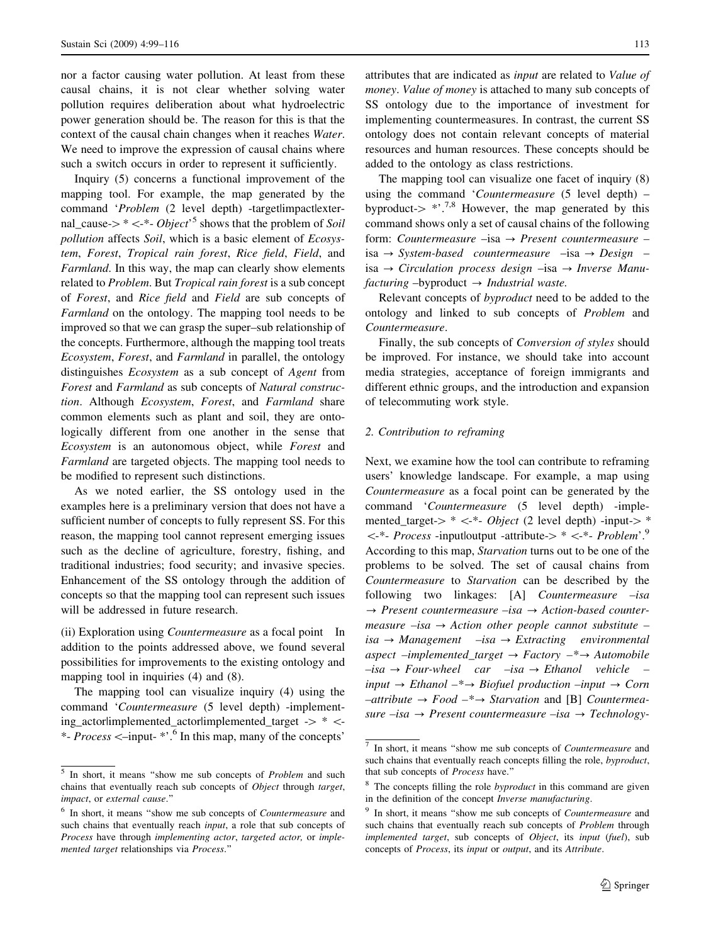nor a factor causing water pollution. At least from these causal chains, it is not clear whether solving water pollution requires deliberation about what hydroelectric power generation should be. The reason for this is that the context of the causal chain changes when it reaches Water. We need to improve the expression of causal chains where such a switch occurs in order to represent it sufficiently.

Inquiry (5) concerns a functional improvement of the mapping tool. For example, the map generated by the command 'Problem (2 level depth) -targetlimpactlexternal\_cause->  $* \leftarrow^*$ - Object<sup>5</sup> shows that the problem of Soil pollution affects Soil, which is a basic element of Ecosystem, Forest, Tropical rain forest, Rice field, Field, and Farmland. In this way, the map can clearly show elements related to Problem. But Tropical rain forest is a sub concept of Forest, and Rice field and Field are sub concepts of Farmland on the ontology. The mapping tool needs to be improved so that we can grasp the super–sub relationship of the concepts. Furthermore, although the mapping tool treats Ecosystem, Forest, and Farmland in parallel, the ontology distinguishes Ecosystem as a sub concept of Agent from Forest and Farmland as sub concepts of Natural construction. Although Ecosystem, Forest, and Farmland share common elements such as plant and soil, they are ontologically different from one another in the sense that Ecosystem is an autonomous object, while Forest and Farmland are targeted objects. The mapping tool needs to be modified to represent such distinctions.

As we noted earlier, the SS ontology used in the examples here is a preliminary version that does not have a sufficient number of concepts to fully represent SS. For this reason, the mapping tool cannot represent emerging issues such as the decline of agriculture, forestry, fishing, and traditional industries; food security; and invasive species. Enhancement of the SS ontology through the addition of concepts so that the mapping tool can represent such issues will be addressed in future research.

(ii) Exploration using Countermeasure as a focal point In addition to the points addressed above, we found several possibilities for improvements to the existing ontology and mapping tool in inquiries (4) and (8).

The mapping tool can visualize inquiry (4) using the command 'Countermeasure (5 level depth) -implement $ing\_actor$ limplemented\_actorlimplemented\_target  $\rightarrow$  \*  $\leftarrow$ \*-  $Process < -input$  \*  $\cdot$ .<sup>6</sup> In this map, many of the concepts'

attributes that are indicated as input are related to Value of money. Value of money is attached to many sub concepts of SS ontology due to the importance of investment for implementing countermeasures. In contrast, the current SS ontology does not contain relevant concepts of material resources and human resources. These concepts should be added to the ontology as class restrictions.

The mapping tool can visualize one facet of inquiry (8) using the command 'Countermeasure (5 level depth) – byproduct- $>$  \*'.<sup>7,8</sup> However, the map generated by this command shows only a set of causal chains of the following form: Countermeasure  $-$ isa  $\rightarrow$  Present countermeasure – isa  $\rightarrow$  System-based countermeasure –isa  $\rightarrow$  Design – isa  $\rightarrow$  Circulation process design  $-$ isa  $\rightarrow$  Inverse Manufacturing  $-$ byproduct  $\rightarrow$  Industrial waste.

Relevant concepts of byproduct need to be added to the ontology and linked to sub concepts of Problem and Countermeasure.

Finally, the sub concepts of Conversion of styles should be improved. For instance, we should take into account media strategies, acceptance of foreign immigrants and different ethnic groups, and the introduction and expansion of telecommuting work style.

### 2. Contribution to reframing

Next, we examine how the tool can contribute to reframing users' knowledge landscape. For example, a map using Countermeasure as a focal point can be generated by the command 'Countermeasure (5 level depth) -implemented\_target- $> * < *$ - *Object* (2 level depth) -input- $> *$  $\langle -* -$  Process -input output -attribute- $> * -* -$  Problem'.<sup>9</sup> According to this map, Starvation turns out to be one of the problems to be solved. The set of causal chains from Countermeasure to Starvation can be described by the following two linkages: [A] *Countermeasure –isa*  $\rightarrow$  Present countermeasure  $-$ isa  $\rightarrow$  Action-based countermeasure  $-isa \rightarrow Action$  other people cannot substitute –  $isa \rightarrow Management \quad -isa \rightarrow Extracting \quad environmental$ aspect  $-implicit$  –implemented\_target  $\rightarrow$  Factory  $-$ \* $\rightarrow$  Automobile  $-isa \rightarrow Four$ -wheel car  $-isa \rightarrow Ethanol$  vehicle – input  $\rightarrow$  Ethanol –\* $\rightarrow$  Biofuel production –input  $\rightarrow$  Corn  $-attribute \rightarrow Food -* \rightarrow Starvation$  and [B] Countermeasure  $-isa \rightarrow Present$  countermeasure  $-isa \rightarrow Technology$ -

<sup>&</sup>lt;sup>5</sup> In short, it means "show me sub concepts of *Problem* and such chains that eventually reach sub concepts of Object through target, impact, or external cause.''

<sup>&</sup>lt;sup>6</sup> In short, it means "show me sub concepts of *Countermeasure* and such chains that eventually reach *input*, a role that sub concepts of Process have through implementing actor, targeted actor, or implemented target relationships via Process.''

<sup>7</sup> In short, it means ''show me sub concepts of Countermeasure and such chains that eventually reach concepts filling the role, byproduct, that sub concepts of Process have.''

 $8\text{ The concepts filling the role by product in this command are given.}$ in the definition of the concept Inverse manufacturing.

<sup>&</sup>lt;sup>9</sup> In short, it means "show me sub concepts of *Countermeasure* and such chains that eventually reach sub concepts of Problem through implemented target, sub concepts of Object, its input (fuel), sub concepts of Process, its input or output, and its Attribute.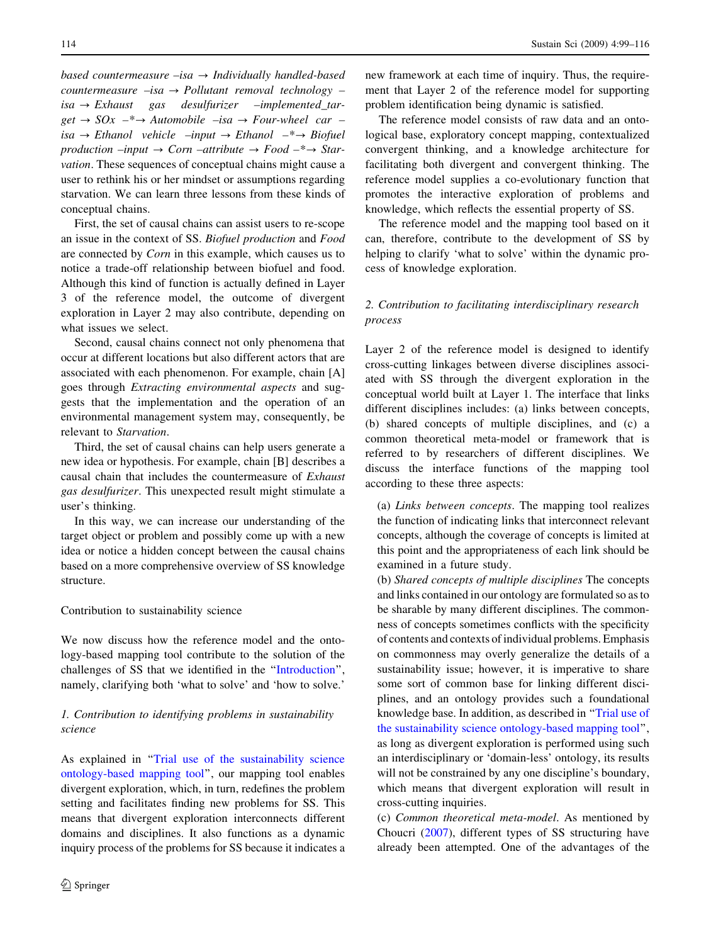based countermeasure  $-isa \rightarrow$  Individually handled-based countermeasure  $-isa \rightarrow Pollutant$  removal technology –  $isa \rightarrow Exhaust$  gas desulfurizer –implemented tar $get \rightarrow SOx$  –\* $\rightarrow$  Automobile –isa  $\rightarrow$  Four-wheel car –  $isa \rightarrow Ethanol$  vehicle  $-input \rightarrow Ethanol$   $-^* \rightarrow Biofuel$ production  $-i$ nput  $\rightarrow$  Corn –attribute  $\rightarrow$  Food –\* $\rightarrow$  Starvation. These sequences of conceptual chains might cause a user to rethink his or her mindset or assumptions regarding starvation. We can learn three lessons from these kinds of conceptual chains.

First, the set of causal chains can assist users to re-scope an issue in the context of SS. Biofuel production and Food are connected by Corn in this example, which causes us to notice a trade-off relationship between biofuel and food. Although this kind of function is actually defined in Layer 3 of the reference model, the outcome of divergent exploration in Layer 2 may also contribute, depending on what issues we select.

Second, causal chains connect not only phenomena that occur at different locations but also different actors that are associated with each phenomenon. For example, chain [A] goes through Extracting environmental aspects and suggests that the implementation and the operation of an environmental management system may, consequently, be relevant to Starvation.

Third, the set of causal chains can help users generate a new idea or hypothesis. For example, chain [B] describes a causal chain that includes the countermeasure of Exhaust gas desulfurizer. This unexpected result might stimulate a user's thinking.

In this way, we can increase our understanding of the target object or problem and possibly come up with a new idea or notice a hidden concept between the causal chains based on a more comprehensive overview of SS knowledge structure.

## Contribution to sustainability science

We now discuss how the reference model and the ontology-based mapping tool contribute to the solution of the challenges of SS that we identified in the ''[Introduction](#page-0-0)'', namely, clarifying both 'what to solve' and 'how to solve.'

# 1. Contribution to identifying problems in sustainability science

As explained in ''[Trial use of the sustainability science](#page-10-0) [ontology-based mapping tool](#page-10-0)'', our mapping tool enables divergent exploration, which, in turn, redefines the problem setting and facilitates finding new problems for SS. This means that divergent exploration interconnects different domains and disciplines. It also functions as a dynamic inquiry process of the problems for SS because it indicates a

new framework at each time of inquiry. Thus, the requirement that Layer 2 of the reference model for supporting problem identification being dynamic is satisfied.

The reference model consists of raw data and an ontological base, exploratory concept mapping, contextualized convergent thinking, and a knowledge architecture for facilitating both divergent and convergent thinking. The reference model supplies a co-evolutionary function that promotes the interactive exploration of problems and knowledge, which reflects the essential property of SS.

The reference model and the mapping tool based on it can, therefore, contribute to the development of SS by helping to clarify 'what to solve' within the dynamic process of knowledge exploration.

# 2. Contribution to facilitating interdisciplinary research process

Layer 2 of the reference model is designed to identify cross-cutting linkages between diverse disciplines associated with SS through the divergent exploration in the conceptual world built at Layer 1. The interface that links different disciplines includes: (a) links between concepts, (b) shared concepts of multiple disciplines, and (c) a common theoretical meta-model or framework that is referred to by researchers of different disciplines. We discuss the interface functions of the mapping tool according to these three aspects:

(a) Links between concepts. The mapping tool realizes the function of indicating links that interconnect relevant concepts, although the coverage of concepts is limited at this point and the appropriateness of each link should be examined in a future study.

(b) Shared concepts of multiple disciplines The concepts and links contained in our ontology are formulated so as to be sharable by many different disciplines. The commonness of concepts sometimes conflicts with the specificity of contents and contexts of individual problems. Emphasis on commonness may overly generalize the details of a sustainability issue; however, it is imperative to share some sort of common base for linking different disciplines, and an ontology provides such a foundational knowledge base. In addition, as described in ''[Trial use of](#page-10-0) [the sustainability science ontology-based mapping tool](#page-10-0)'', as long as divergent exploration is performed using such an interdisciplinary or 'domain-less' ontology, its results will not be constrained by any one discipline's boundary, which means that divergent exploration will result in cross-cutting inquiries.

(c) Common theoretical meta-model. As mentioned by Choucri ([2007\)](#page-17-0), different types of SS structuring have already been attempted. One of the advantages of the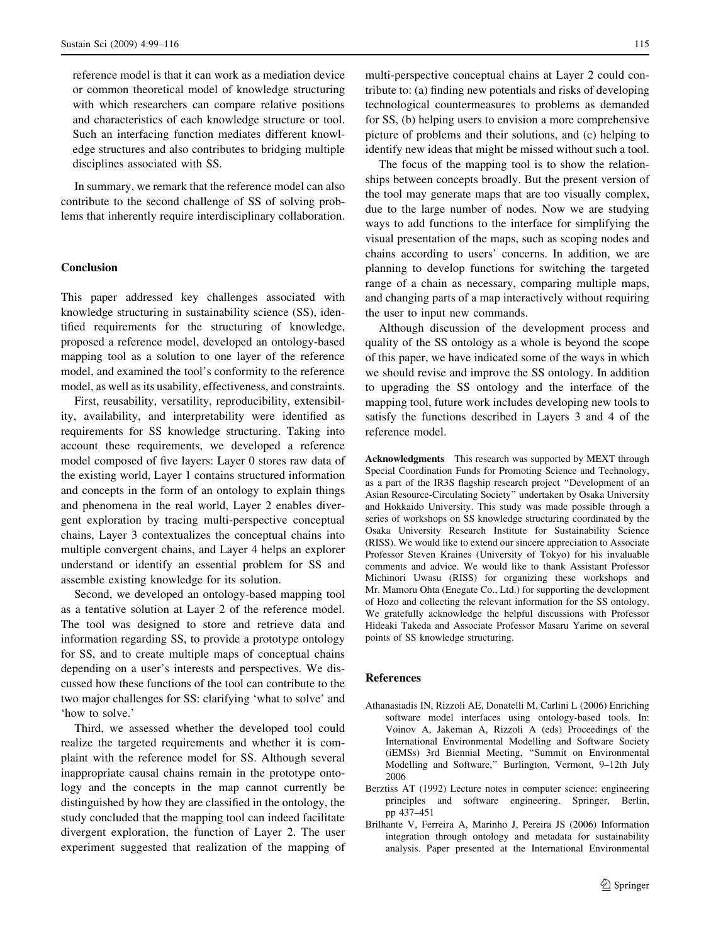<span id="page-16-0"></span>reference model is that it can work as a mediation device or common theoretical model of knowledge structuring with which researchers can compare relative positions and characteristics of each knowledge structure or tool. Such an interfacing function mediates different knowledge structures and also contributes to bridging multiple disciplines associated with SS.

In summary, we remark that the reference model can also contribute to the second challenge of SS of solving problems that inherently require interdisciplinary collaboration.

## Conclusion

This paper addressed key challenges associated with knowledge structuring in sustainability science (SS), identified requirements for the structuring of knowledge, proposed a reference model, developed an ontology-based mapping tool as a solution to one layer of the reference model, and examined the tool's conformity to the reference model, as well as its usability, effectiveness, and constraints.

First, reusability, versatility, reproducibility, extensibility, availability, and interpretability were identified as requirements for SS knowledge structuring. Taking into account these requirements, we developed a reference model composed of five layers: Layer 0 stores raw data of the existing world, Layer 1 contains structured information and concepts in the form of an ontology to explain things and phenomena in the real world, Layer 2 enables divergent exploration by tracing multi-perspective conceptual chains, Layer 3 contextualizes the conceptual chains into multiple convergent chains, and Layer 4 helps an explorer understand or identify an essential problem for SS and assemble existing knowledge for its solution.

Second, we developed an ontology-based mapping tool as a tentative solution at Layer 2 of the reference model. The tool was designed to store and retrieve data and information regarding SS, to provide a prototype ontology for SS, and to create multiple maps of conceptual chains depending on a user's interests and perspectives. We discussed how these functions of the tool can contribute to the two major challenges for SS: clarifying 'what to solve' and 'how to solve.'

Third, we assessed whether the developed tool could realize the targeted requirements and whether it is complaint with the reference model for SS. Although several inappropriate causal chains remain in the prototype ontology and the concepts in the map cannot currently be distinguished by how they are classified in the ontology, the study concluded that the mapping tool can indeed facilitate divergent exploration, the function of Layer 2. The user experiment suggested that realization of the mapping of

multi-perspective conceptual chains at Layer 2 could contribute to: (a) finding new potentials and risks of developing technological countermeasures to problems as demanded for SS, (b) helping users to envision a more comprehensive picture of problems and their solutions, and (c) helping to identify new ideas that might be missed without such a tool.

The focus of the mapping tool is to show the relationships between concepts broadly. But the present version of the tool may generate maps that are too visually complex, due to the large number of nodes. Now we are studying ways to add functions to the interface for simplifying the visual presentation of the maps, such as scoping nodes and chains according to users' concerns. In addition, we are planning to develop functions for switching the targeted range of a chain as necessary, comparing multiple maps, and changing parts of a map interactively without requiring the user to input new commands.

Although discussion of the development process and quality of the SS ontology as a whole is beyond the scope of this paper, we have indicated some of the ways in which we should revise and improve the SS ontology. In addition to upgrading the SS ontology and the interface of the mapping tool, future work includes developing new tools to satisfy the functions described in Layers 3 and 4 of the reference model.

Acknowledgments This research was supported by MEXT through Special Coordination Funds for Promoting Science and Technology, as a part of the IR3S flagship research project ''Development of an Asian Resource-Circulating Society'' undertaken by Osaka University and Hokkaido University. This study was made possible through a series of workshops on SS knowledge structuring coordinated by the Osaka University Research Institute for Sustainability Science (RISS). We would like to extend our sincere appreciation to Associate Professor Steven Kraines (University of Tokyo) for his invaluable comments and advice. We would like to thank Assistant Professor Michinori Uwasu (RISS) for organizing these workshops and Mr. Mamoru Ohta (Enegate Co., Ltd.) for supporting the development of Hozo and collecting the relevant information for the SS ontology. We gratefully acknowledge the helpful discussions with Professor Hideaki Takeda and Associate Professor Masaru Yarime on several points of SS knowledge structuring.

#### References

- Athanasiadis IN, Rizzoli AE, Donatelli M, Carlini L (2006) Enriching software model interfaces using ontology-based tools. In: Voinov A, Jakeman A, Rizzoli A (eds) Proceedings of the International Environmental Modelling and Software Society (iEMSs) 3rd Biennial Meeting, ''Summit on Environmental Modelling and Software,'' Burlington, Vermont, 9–12th July 2006
- Berztiss AT (1992) Lecture notes in computer science: engineering principles and software engineering. Springer, Berlin, pp 437–451
- Brilhante V, Ferreira A, Marinho J, Pereira JS (2006) Information integration through ontology and metadata for sustainability analysis. Paper presented at the International Environmental